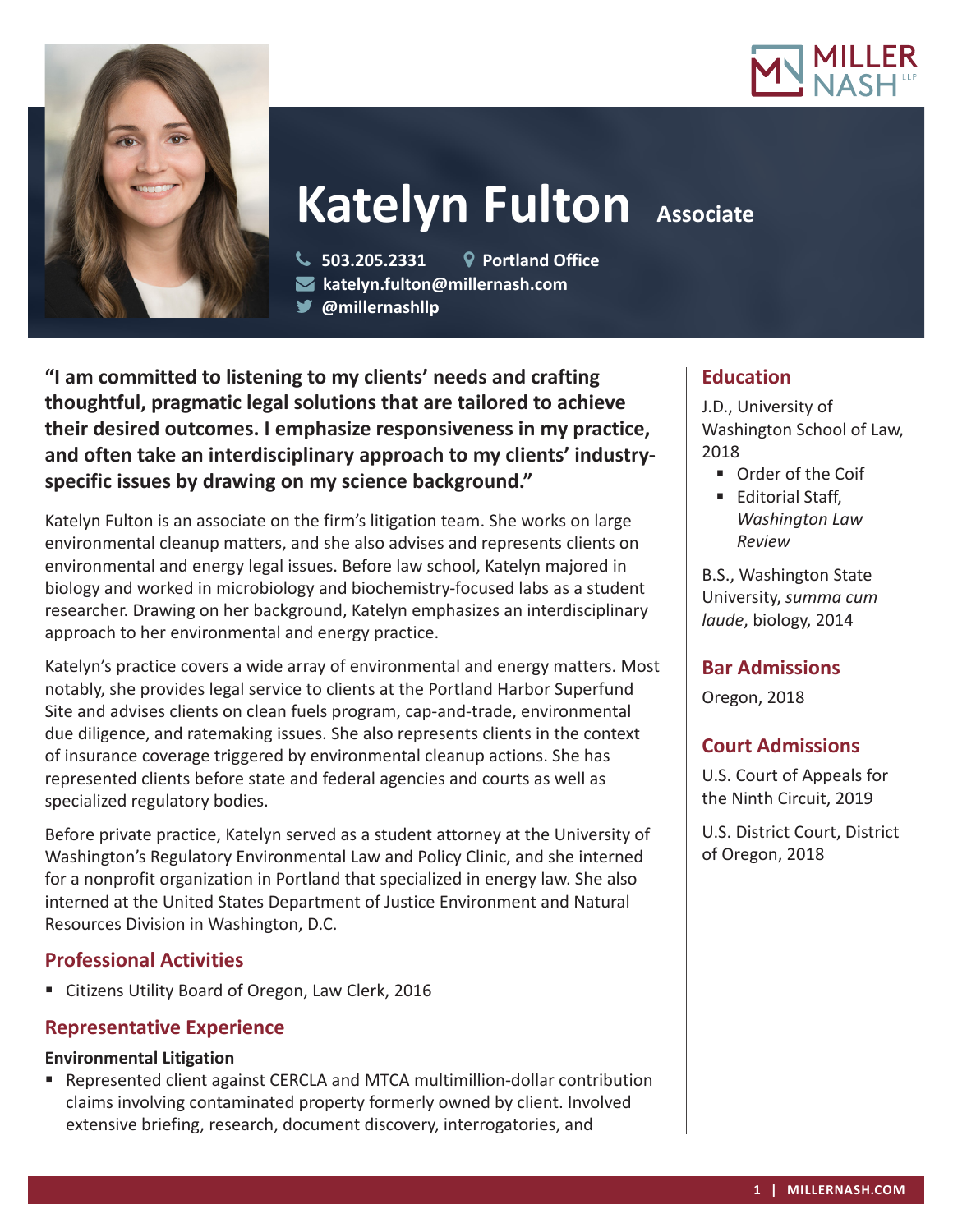



# **Katelyn Fulton Associate**

 **503.205.2331 Portland Office katelyn.fulton@millernash.com** 

**@millernashllp**

**"I am committed to listening to my clients' needs and crafting thoughtful, pragmatic legal solutions that are tailored to achieve their desired outcomes. I emphasize responsiveness in my practice, and often take an interdisciplinary approach to my clients' industryspecific issues by drawing on my science background."**

Katelyn Fulton is an associate on the firm's litigation team. She works on large environmental cleanup matters, and she also advises and represents clients on environmental and energy legal issues. Before law school, Katelyn majored in biology and worked in microbiology and biochemistry-focused labs as a student researcher. Drawing on her background, Katelyn emphasizes an interdisciplinary approach to her environmental and energy practice.

Katelyn's practice covers a wide array of environmental and energy matters. Most notably, she provides legal service to clients at the Portland Harbor Superfund Site and advises clients on clean fuels program, cap-and-trade, environmental due diligence, and ratemaking issues. She also represents clients in the context of insurance coverage triggered by environmental cleanup actions. She has represented clients before state and federal agencies and courts as well as specialized regulatory bodies.

Before private practice, Katelyn served as a student attorney at the University of Washington's Regulatory Environmental Law and Policy Clinic, and she interned for a nonprofit organization in Portland that specialized in energy law. She also interned at the United States Department of Justice Environment and Natural Resources Division in Washington, D.C.

# **Professional Activities**

Citizens Utility Board of Oregon, Law Clerk, 2016

# **Representative Experience**

## **Environmental Litigation**

 Represented client against CERCLA and MTCA multimillion-dollar contribution claims involving contaminated property formerly owned by client. Involved extensive briefing, research, document discovery, interrogatories, and

# **Education**

J.D., University of Washington School of Law, 2018

- Order of the Coif
- Editorial Staff, *Washington Law Review*

B.S., Washington State University, *summa cum laude*, biology, 2014

# **Bar Admissions**

Oregon, 2018

# **Court Admissions**

U.S. Court of Appeals for the Ninth Circuit, 2019

U.S. District Court, District of Oregon, 2018